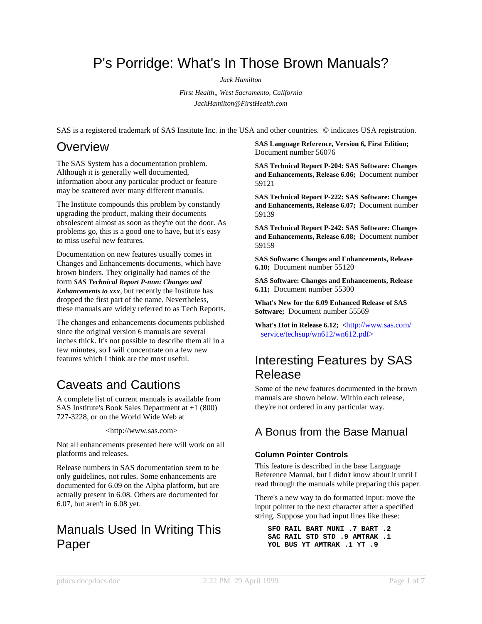# P's Porridge: What's In Those Brown Manuals?

*Jack Hamilton*

*First Health,, West Sacramento, California JackHamilton@FirstHealth.com*

SAS is a registered trademark of SAS Institute Inc. in the USA and other countries. © indicates USA registration.

# **Overview**

The SAS System has a documentation problem. Although it is generally well documented, information about any particular product or feature may be scattered over many different manuals.

The Institute compounds this problem by constantly upgrading the product, making their documents obsolescent almost as soon as they're out the door. As problems go, this is a good one to have, but it's easy to miss useful new features.

Documentation on new features usually comes in Changes and Enhancements documents, which have brown binders. They originally had names of the form *SAS Technical Report P-nnn: Changes and Enhancements to xxx*, but recently the Institute has dropped the first part of the name. Nevertheless, these manuals are widely referred to as Tech Reports.

The changes and enhancements documents published since the original version 6 manuals are several inches thick. It's not possible to describe them all in a few minutes, so I will concentrate on a few new features which I think are the most useful.

# Caveats and Cautions

A complete list of current manuals is available from SAS Institute's Book Sales Department at +1 (800) 727-3228, or on the World Wide Web at

<http://www.sas.com>

Not all enhancements presented here will work on all platforms and releases.

Release numbers in SAS documentation seem to be only guidelines, not rules. Some enhancements are documented for 6.09 on the Alpha platform, but are actually present in 6.08. Others are documented for 6.07, but aren't in 6.08 yet.

# Manuals Used In Writing This Paper

**SAS Language Reference, Version 6, First Edition;** Document number 56076

**SAS Technical Report P-204: SAS Software: Changes and Enhancements, Release 6.06;** Document number 59121

**SAS Technical Report P-222: SAS Software: Changes and Enhancements, Release 6.07;** Document number 59139

**SAS Technical Report P-242: SAS Software: Changes and Enhancements, Release 6.08;** Document number 59159

**SAS Software: Changes and Enhancements, Release 6.10;** Document number 55120

**SAS Software: Changes and Enhancements, Release 6.11;** Document number 55300

**What's New for the 6.09 Enhanced Release of SAS Software;** Document number 55569

**What's Hot in Release 6.12; <**http://www.sas.com/ service/techsup/wn612/wn612.pdf>

# Interesting Features by SAS Release

Some of the new features documented in the brown manuals are shown below. Within each release, they're not ordered in any particular way.

## A Bonus from the Base Manual

## **Column Pointer Controls**

This feature is described in the base Language Reference Manual, but I didn't know about it until I read through the manuals while preparing this paper.

There's a new way to do formatted input: move the input pointer to the next character after a specified string. Suppose you had input lines like these:

```
SFO RAIL BART MUNI .7 BART .2
SAC RAIL STD STD .9 AMTRAK .1
YOL BUS YT AMTRAK .1 YT .9
```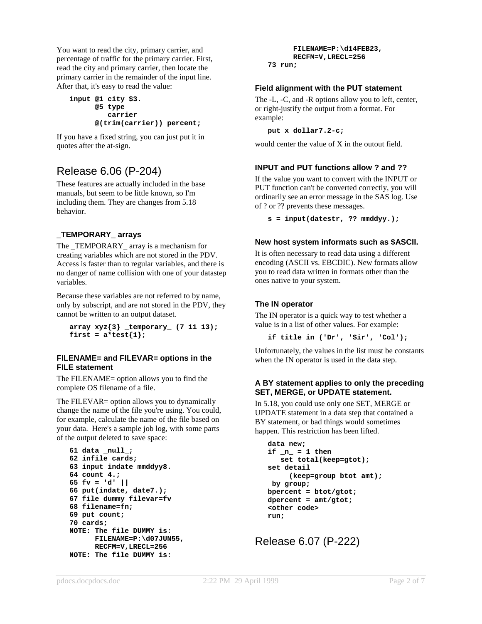You want to read the city, primary carrier, and percentage of traffic for the primary carrier. First, read the city and primary carrier, then locate the primary carrier in the remainder of the input line. After that, it's easy to read the value:

```
input @1 city $3.
      @5 type
         carrier
      @(trim(carrier)) percent;
```
If you have a fixed string, you can just put it in quotes after the at-sign.

## Release 6.06 (P-204)

These features are actually included in the base manuals, but seem to be little known, so I'm including them. They are changes from 5.18 behavior.

## **\_TEMPORARY\_ arrays**

The \_TEMPORARY\_ array is a mechanism for creating variables which are not stored in the PDV. Access is faster than to regular variables, and there is no danger of name collision with one of your datastep variables.

Because these variables are not referred to by name, only by subscript, and are not stored in the PDV, they cannot be written to an output dataset.

```
array xyz{3} _temporary_ (7 11 13);
first = a*test{1};
```
#### **FILENAME= and FILEVAR= options in the FILE statement**

The FILENAME= option allows you to find the complete OS filename of a file.

The FILEVAR= option allows you to dynamically change the name of the file you're using. You could, for example, calculate the name of the file based on your data. Here's a sample job log, with some parts of the output deleted to save space:

```
61 data _null_;
62 infile cards;
63 input indate mmddyy8.
64 count 4.;
65 fv = 'd' ||
66 put(indate, date7.);
67 file dummy filevar=fv
68 filename=fn;
69 put count;
70 cards;
NOTE: The file DUMMY is:
      FILENAME=P:\d07JUN55,
      RECFM=V,LRECL=256
NOTE: The file DUMMY is:
```

```
FILENAME=P:\d14FEB23,
RECFM=V,LRECL=256
```

```
73 run;
```
## **Field alignment with the PUT statement**

The -L, -C, and -R options allow you to left, center, or right-justify the output from a format. For example:

**put x dollar7.2-c;**

would center the value of X in the outout field.

## **INPUT and PUT functions allow ? and ??**

If the value you want to convert with the INPUT or PUT function can't be converted correctly, you will ordinarily see an error message in the SAS log. Use of ? or ?? prevents these messages.

**s = input(datestr, ?? mmddyy.);**

## **New host system informats such as \$ASCII.**

It is often necessary to read data using a different encoding (ASCII vs. EBCDIC). New formats allow you to read data written in formats other than the ones native to your system.

## **The IN operator**

The IN operator is a quick way to test whether a value is in a list of other values. For example:

**if title in ('Dr', 'Sir', 'Col');**

Unfortunately, the values in the list must be constants when the IN operator is used in the data step.

## **A BY statement applies to only the preceding SET, MERGE, or UPDATE statement.**

In 5.18, you could use only one SET, MERGE or UPDATE statement in a data step that contained a BY statement, or bad things would sometimes happen. This restriction has been lifted.

```
data new;
if_n = 1 thenset total(keep=gtot);
set detail
     (keep=group btot amt);
 by group;
bpercent = btot/gtot;
dpercent = amt/gtot;
<other code>
run;
```
Release 6.07 (P-222)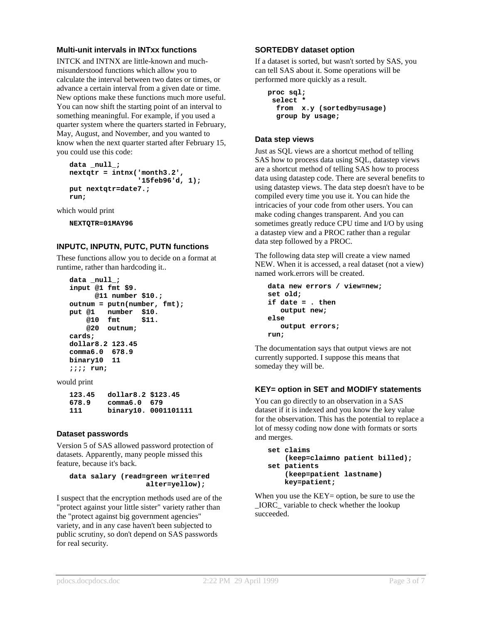#### **Multi-unit intervals in INTxx functions**

INTCK and INTNX are little-known and muchmisunderstood functions which allow you to calculate the interval between two dates or times, or advance a certain interval from a given date or time. New options make these functions much more useful. You can now shift the starting point of an interval to something meaningful. For example, if you used a quarter system where the quarters started in February, May, August, and November, and you wanted to know when the next quarter started after February 15, you could use this code:

```
data _null_;
nextqtr = intnx('month3.2',
                '15feb96'd, 1);
put nextqtr=date7.;
run;
```
which would print

**NEXTQTR=01MAY96**

## **INPUTC, INPUTN, PUTC, PUTN functions**

These functions allow you to decide on a format at runtime, rather than hardcoding it..

```
data _null_;
input @1 fmt $9.
      @11 number $10.;
outnum = putn(number, fmt);
put @1 number $10.
    @10 fmt $11.
   @20 outnum;
cards;
dollar8.2 123.45
comma6.0 678.9
binary10 11
;;;; run;
```
would print

| 123.45 | dollar8.2 \$123.45 |                      |
|--------|--------------------|----------------------|
| 678.9  | $comm6$ .0 679     |                      |
| 111    |                    | binary10. 0001101111 |

#### **Dataset passwords**

Version 5 of SAS allowed password protection of datasets. Apparently, many people missed this feature, because it's back.

#### **data salary (read=green write=red alter=yellow);**

I suspect that the encryption methods used are of the "protect against your little sister" variety rather than the "protect against big government agencies" variety, and in any case haven't been subjected to public scrutiny, so don't depend on SAS passwords for real security.

#### **SORTEDBY dataset option**

If a dataset is sorted, but wasn't sorted by SAS, you can tell SAS about it. Some operations will be performed more quickly as a result.

```
proc sql;
 select *
  from x.y (sortedby=usage)
  group by usage;
```
#### **Data step views**

Just as SQL views are a shortcut method of telling SAS how to process data using SQL, datastep views are a shortcut method of telling SAS how to process data using datastep code. There are several benefits to using datastep views. The data step doesn't have to be compiled every time you use it. You can hide the intricacies of your code from other users. You can make coding changes transparent. And you can sometimes greatly reduce CPU time and I/O by using a datastep view and a PROC rather than a regular data step followed by a PROC.

The following data step will create a view named NEW. When it is accessed, a real dataset (not a view) named work.errors will be created.

```
data new errors / view=new;
set old;
if date = . then
   output new;
else
   output errors;
run;
```
The documentation says that output views are not currently supported. I suppose this means that someday they will be.

## **KEY= option in SET and MODIFY statements**

You can go directly to an observation in a SAS dataset if it is indexed and you know the key value for the observation. This has the potential to replace a lot of messy coding now done with formats or sorts and merges.

```
set claims
    (keep=claimno patient billed);
set patients
    (keep=patient lastname)
    key=patient;
```
When you use the  $KEY=$  option, be sure to use the \_IORC\_ variable to check whether the lookup succeeded.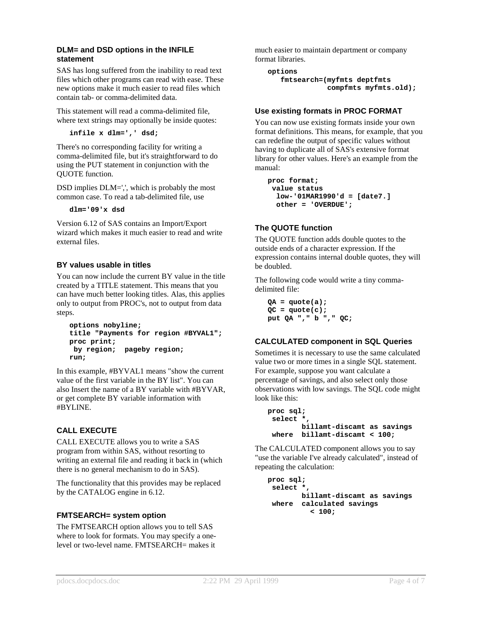#### **DLM= and DSD options in the INFILE statement**

SAS has long suffered from the inability to read text files which other programs can read with ease. These new options make it much easier to read files which contain tab- or comma-delimited data.

This statement will read a comma-delimited file, where text strings may optionally be inside quotes:

**infile x dlm=',' dsd;**

There's no corresponding facility for writing a comma-delimited file, but it's straightforward to do using the PUT statement in conjunction with the QUOTE function.

DSD implies DLM=',', which is probably the most common case. To read a tab-delimited file, use

**dlm='09'x dsd**

Version 6.12 of SAS contains an Import/Export wizard which makes it much easier to read and write external files.

## **BY values usable in titles**

You can now include the current BY value in the title created by a TITLE statement. This means that you can have much better looking titles. Alas, this applies only to output from PROC's, not to output from data steps.

```
options nobyline;
title "Payments for region #BYVAL1";
proc print;
by region; pageby region;
run;
```
In this example, #BYVAL1 means "show the current value of the first variable in the BY list". You can also Insert the name of a BY variable with #BYVAR, or get complete BY variable information with #BYLINE.

## **CALL EXECUTE**

CALL EXECUTE allows you to write a SAS program from within SAS, without resorting to writing an external file and reading it back in (which there is no general mechanism to do in SAS).

The functionality that this provides may be replaced by the CATALOG engine in 6.12.

## **FMTSEARCH= system option**

The FMTSEARCH option allows you to tell SAS where to look for formats. You may specify a onelevel or two-level name. FMTSEARCH= makes it much easier to maintain department or company format libraries.

```
options
   fmtsearch=(myfmts deptfmts
              compfmts myfmts.old);
```
## **Use existing formats in PROC FORMAT**

You can now use existing formats inside your own format definitions. This means, for example, that you can redefine the output of specific values without having to duplicate all of SAS's extensive format library for other values. Here's an example from the manual:

```
proc format;
 value status
  low-'01MAR1990'd = [date7.]
  other = 'OVERDUE';
```
## **The QUOTE function**

The QUOTE function adds double quotes to the outside ends of a character expression. If the expression contains internal double quotes, they will be doubled.

The following code would write a tiny commadelimited file:

**QA = quote(a); QC = quote(c); put QA "," b "," QC;**

## **CALCULATED component in SQL Queries**

Sometimes it is necessary to use the same calculated value two or more times in a single SQL statement. For example, suppose you want calculate a percentage of savings, and also select only those observations with low savings. The SQL code might look like this:

```
proc sql;
 select *,
       billamt-discamt as savings
 where billamt-discamt < 100;
```
The CALCULATED component allows you to say "use the variable I've already calculated", instead of repeating the calculation:

```
proc sql;
select *,
       billamt-discamt as savings
 where calculated savings
          < 100;
```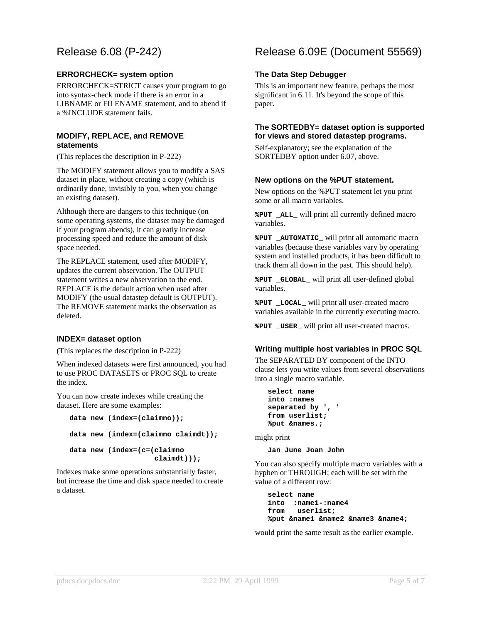## Release 6.08 (P-242)

## **ERRORCHECK= system option**

ERRORCHECK=STRICT causes your program to go into syntax-check mode if there is an error in a LIBNAME or FILENAME statement, and to abend if a %INCLUDE statement fails.

#### **MODIFY, REPLACE, and REMOVE statements**

(This replaces the description in P-222)

The MODIFY statement allows you to modify a SAS dataset in place, without creating a copy (which is ordinarily done, invisibly to you, when you change an existing dataset).

Although there are dangers to this technique (on some operating systems, the dataset may be damaged if your program abends), it can greatly increase processing speed and reduce the amount of disk space needed.

The REPLACE statement, used after MODIFY, updates the current observation. The OUTPUT statement writes a new observation to the end. REPLACE is the default action when used after MODIFY (the usual datastep default is OUTPUT). The REMOVE statement marks the observation as deleted.

## **INDEX= dataset option**

(This replaces the description in P-222)

When indexed datasets were first announced, you had to use PROC DATASETS or PROC SQL to create the index.

You can now create indexes while creating the dataset. Here are some examples:

```
data new (index=(claimno));
data new (index=(claimno claimdt));
data new (index=(c=(claimno
                    claimdt)));
```
Indexes make some operations substantially faster, but increase the time and disk space needed to create a dataset.

## Release 6.09E (Document 55569)

## **The Data Step Debugger**

This is an important new feature, perhaps the most significant in 6.11. It's beyond the scope of this paper.

#### **The SORTEDBY= dataset option is supported for views and stored datastep programs.**

Self-explanatory; see the explanation of the SORTEDBY option under 6.07, above.

#### **New options on the %PUT statement.**

New options on the %PUT statement let you print some or all macro variables.

**%PUT \_ALL\_** will print all currently defined macro variables.

**%PUT \_AUTOMATIC\_** will print all automatic macro variables (because these variables vary by operating system and installed products, it has been difficult to track them all down in the past. This should help).

**%PUT \_GLOBAL\_** will print all user-defined global variables.

**%PUT \_LOCAL\_** will print all user-created macro variables available in the currently executing macro.

**%PUT \_USER\_** will print all user-created macros.

## **Writing multiple host variables in PROC SQL**

The SEPARATED BY component of the INTO clause lets you write values from several observations into a single macro variable.

```
select name
into :names
separated by ', '
from userlist;
%put &names.;
```
might print

**Jan June Joan John**

You can also specify multiple macro variables with a hyphen or THROUGH; each will be set with the value of a different row:

**select name into :name1-:name4 from userlist; %put &name1 &name2 &name3 &name4;**

would print the same result as the earlier example.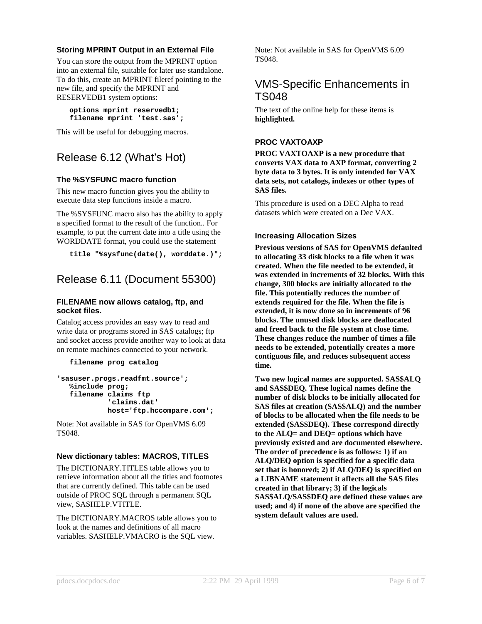## **Storing MPRINT Output in an External File**

You can store the output from the MPRINT option into an external file, suitable for later use standalone. To do this, create an MPRINT fileref pointing to the new file, and specify the MPRINT and RESERVEDB1 system options:

```
options mprint reservedb1;
filename mprint 'test.sas';
```
This will be useful for debugging macros.

## Release 6.12 (What's Hot)

## **The %SYSFUNC macro function**

This new macro function gives you the ability to execute data step functions inside a macro.

The %SYSFUNC macro also has the ability to apply a specified format to the result of the function.. For example, to put the current date into a title using the WORDDATE format, you could use the statement

```
title "%sysfunc(date(), worddate.)";
```
## Release 6.11 (Document 55300)

#### **FILENAME now allows catalog, ftp, and socket files.**

Catalog access provides an easy way to read and write data or programs stored in SAS catalogs; ftp and socket access provide another way to look at data on remote machines connected to your network.

```
filename prog catalog
```

```
'sasuser.progs.readfmt.source';
  %include prog;
  filename claims ftp
            'claims.dat'
           host='ftp.hccompare.com';
```
Note: Not available in SAS for OpenVMS 6.09 TS048.

## **New dictionary tables: MACROS, TITLES**

The DICTIONARY.TITLES table allows you to retrieve information about all the titles and footnotes that are currently defined. This table can be used outside of PROC SQL through a permanent SQL view, SASHELP.VTITLE.

The DICTIONARY.MACROS table allows you to look at the names and definitions of all macro variables. SASHELP.VMACRO is the SQL view.

Note: Not available in SAS for OpenVMS 6.09 TS048.

## VMS-Specific Enhancements in TS048

The text of the online help for these items is **highlighted.**

## **PROC VAXTOAXP**

**PROC VAXTOAXP is a new procedure that converts VAX data to AXP format, converting 2 byte data to 3 bytes. It is only intended for VAX data sets, not catalogs, indexes or other types of SAS files.**

This procedure is used on a DEC Alpha to read datasets which were created on a Dec VAX.

## **Increasing Allocation Sizes**

**Previous versions of SAS for OpenVMS defaulted to allocating 33 disk blocks to a file when it was created. When the file needed to be extended, it was extended in increments of 32 blocks. With this change, 300 blocks are initially allocated to the file. This potentially reduces the number of extends required for the file. When the file is extended, it is now done so in increments of 96 blocks. The unused disk blocks are deallocated and freed back to the file system at close time. These changes reduce the number of times a file needs to be extended, potentially creates a more contiguous file, and reduces subsequent access time.**

**Two new logical names are supported. SAS\$ALQ and SAS\$DEQ. These logical names define the number of disk blocks to be initially allocated for SAS files at creation (SAS\$ALQ) and the number of blocks to be allocated when the file needs to be extended (SAS\$DEQ). These correspond directly to the ALQ= and DEQ= options which have previously existed and are documented elsewhere. The order of precedence is as follows: 1) if an ALQ/DEQ option is specified for a specific data set that is honored; 2) if ALQ/DEQ is specified on a LIBNAME statement it affects all the SAS files created in that library; 3) if the logicals SAS\$ALQ/SAS\$DEQ are defined these values are used; and 4) if none of the above are specified the system default values are used.**